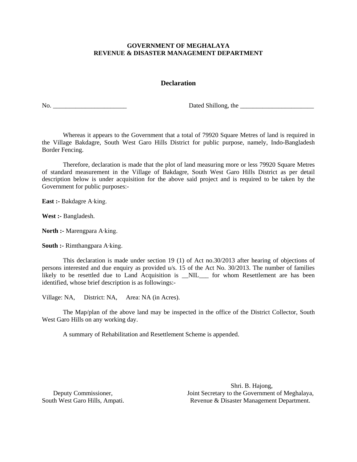# **Declaration**

No. \_\_\_\_\_\_\_\_\_\_\_\_\_\_\_\_\_\_\_\_\_\_\_ Dated Shillong, the \_\_\_\_\_\_\_\_\_\_\_\_\_\_\_\_\_\_\_\_\_\_\_

Whereas it appears to the Government that a total of 79920 Square Metres of land is required in the Village Bakdagre, South West Garo Hills District for public purpose, namely, Indo-Bangladesh Border Fencing.

Therefore, declaration is made that the plot of land measuring more or less 79920 Square Metres of standard measurement in the Village of Bakdagre, South West Garo Hills District as per detail description below is under acquisition for the above said project and is required to be taken by the Government for public purposes:-

**East :-** Bakdagre A∙king.

**West :-** Bangladesh.

**North :-** Marengpara A∙king.

**South :-** Rimthangpara A∙king.

This declaration is made under section 19 (1) of Act no.30/2013 after hearing of objections of persons interested and due enquiry as provided u/s. 15 of the Act No. 30/2013. The number of families likely to be resettled due to Land Acquisition is \_NIL\_\_ for whom Resettlement are has been identified, whose brief description is as followings:-

Village: NA, District: NA, Area: NA (in Acres).

The Map/plan of the above land may be inspected in the office of the District Collector, South West Garo Hills on any working day.

A summary of Rehabilitation and Resettlement Scheme is appended.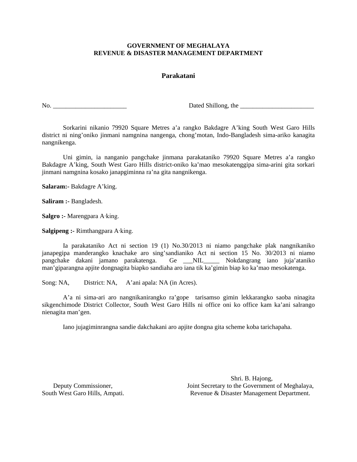### **Parakatani**

No. \_\_\_\_\_\_\_\_\_\_\_\_\_\_\_\_\_\_\_\_\_\_\_ Dated Shillong, the \_\_\_\_\_\_\_\_\_\_\_\_\_\_\_\_\_\_\_\_\_\_\_

Sorkarini nikanio 79920 Square Metres a'a rangko Bakdagre A'king South West Garo Hills district ni ning'oniko jinmani namgnina nangenga, chong'motan, Indo-Bangladesh sima-ariko kanagita nangnikenga.

 Uni gimin, ia nanganio pangchake jinmana parakataniko 79920 Square Metres a'a rangko Bakdagre A'king, South West Garo Hills district-oniko ka'mao mesokatenggipa sima-arini gita sorkari jinmani namgnina kosako janapgiminna ra'na gita nangnikenga.

**Salaram:-** Bakdagre A'king.

**Saliram :-** Bangladesh.

**Salgro :-** Marengpara A∙king.

**Salgipeng :-** Rimthangpara A∙king.

Ia parakataniko Act ni section 19 (1) No.30/2013 ni niamo pangchake plak nangnikaniko janapegipa manderangko knachake aro sing'sandianiko Act ni section 15 No. 30/2013 ni niamo pangchake dakani jamano parakatenga. Ge \_\_\_NIL\_\_\_\_\_ Nokdangrang iano juja'ataniko man'giparangna apjite dongnagita biapko sandiaha aro iana tik ka'gimin biap ko ka'mao mesokatenga.

Song: NA, District: NA, A'ani apala: NA (in Acres).

A'a ni sima-ari aro nangnikanirangko ra'gope tarisamso gimin lekkarangko saoba ninagita sikgenchimode District Collector, South West Garo Hills ni office oni ko office kam ka'ani salrango nienagita man'gen.

Iano jujagiminrangna sandie dakchakani aro apjite dongna gita scheme koba tarichapaha.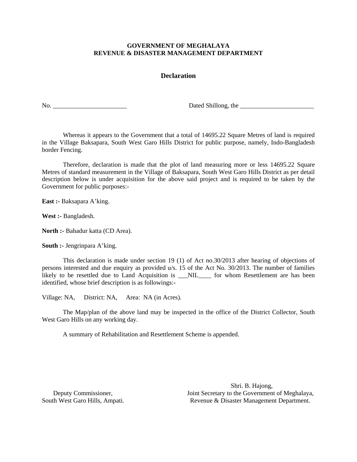### **Declaration**

No. \_\_\_\_\_\_\_\_\_\_\_\_\_\_\_\_\_\_\_\_\_\_\_ Dated Shillong, the \_\_\_\_\_\_\_\_\_\_\_\_\_\_\_\_\_\_\_\_\_\_\_

Whereas it appears to the Government that a total of 14695.22 Square Metres of land is required in the Village Baksapara, South West Garo Hills District for public purpose, namely, Indo-Bangladesh border Fencing.

Therefore, declaration is made that the plot of land measuring more or less 14695.22 Square Metres of standard measurement in the Village of Baksapara, South West Garo Hills District as per detail description below is under acquisition for the above said project and is required to be taken by the Government for public purposes:-

**East :-** Baksapara A'king.

**West :-** Bangladesh.

**North :-** Bahadur katta (CD Area).

**South :-** Jengrinpara A'king.

This declaration is made under section 19 (1) of Act no.30/2013 after hearing of objections of persons interested and due enquiry as provided u/s. 15 of the Act No. 30/2013. The number of families likely to be resettled due to Land Acquisition is \_\_NIL\_\_\_\_ for whom Resettlement are has been identified, whose brief description is as followings:-

Village: NA, District: NA, Area: NA (in Acres).

The Map/plan of the above land may be inspected in the office of the District Collector, South West Garo Hills on any working day.

A summary of Rehabilitation and Resettlement Scheme is appended.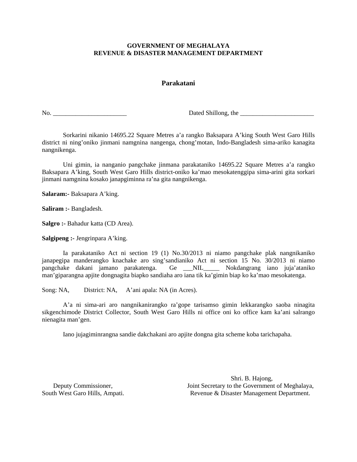# **Parakatani**

No. 2018 Dated Shillong, the 2018 Dated Shillong, the 2018 Dated Shillong, the 2018 Dated Shillong, the 2018 Dated Shillong, the 2018 Dated Shillong, the 2018 Dated Shillong, the 2018 Dated Shillong, the 2018 Dated Shillon

Sorkarini nikanio 14695.22 Square Metres a'a rangko Baksapara A'king South West Garo Hills district ni ning'oniko jinmani namgnina nangenga, chong'motan, Indo-Bangladesh sima-ariko kanagita nangnikenga.

 Uni gimin, ia nanganio pangchake jinmana parakataniko 14695.22 Square Metres a'a rangko Baksapara A'king, South West Garo Hills district-oniko ka'mao mesokatenggipa sima-arini gita sorkari jinmani namgnina kosako janapgiminna ra'na gita nangnikenga.

**Salaram:-** Baksapara A'king.

**Saliram :-** Bangladesh.

**Salgro :-** Bahadur katta (CD Area).

**Salgipeng :-** Jengrinpara A'king.

Ia parakataniko Act ni section 19 (1) No.30/2013 ni niamo pangchake plak nangnikaniko janapegipa manderangko knachake aro sing'sandianiko Act ni section 15 No. 30/2013 ni niamo pangchake dakani jamano parakatenga. Ge \_\_\_NIL\_\_\_\_\_ Nokdangrang iano juja'ataniko man'giparangna apjite dongnagita biapko sandiaha aro iana tik ka'gimin biap ko ka'mao mesokatenga.

Song: NA, District: NA, A'ani apala: NA (in Acres).

A'a ni sima-ari aro nangnikanirangko ra'gope tarisamso gimin lekkarangko saoba ninagita sikgenchimode District Collector, South West Garo Hills ni office oni ko office kam ka'ani salrango nienagita man'gen.

Iano jujagiminrangna sandie dakchakani aro apjite dongna gita scheme koba tarichapaha.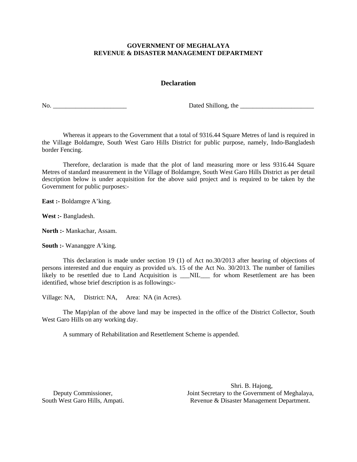# **Declaration**

No. \_\_\_\_\_\_\_\_\_\_\_\_\_\_\_\_\_\_\_\_\_\_\_ Dated Shillong, the \_\_\_\_\_\_\_\_\_\_\_\_\_\_\_\_\_\_\_\_\_\_\_

Whereas it appears to the Government that a total of 9316.44 Square Metres of land is required in the Village Boldamgre, South West Garo Hills District for public purpose, namely, Indo-Bangladesh border Fencing.

Therefore, declaration is made that the plot of land measuring more or less 9316.44 Square Metres of standard measurement in the Village of Boldamgre, South West Garo Hills District as per detail description below is under acquisition for the above said project and is required to be taken by the Government for public purposes:-

**East :-** Boldamgre A'king.

**West :-** Bangladesh.

**North :-** Mankachar, Assam.

**South :-** Wananggre A'king.

This declaration is made under section 19 (1) of Act no.30/2013 after hearing of objections of persons interested and due enquiry as provided u/s. 15 of the Act No. 30/2013. The number of families likely to be resettled due to Land Acquisition is \_\_\_NIL\_\_\_ for whom Resettlement are has been identified, whose brief description is as followings:-

Village: NA, District: NA, Area: NA (in Acres).

The Map/plan of the above land may be inspected in the office of the District Collector, South West Garo Hills on any working day.

A summary of Rehabilitation and Resettlement Scheme is appended.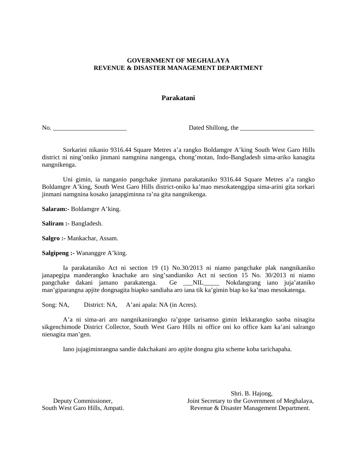# **Parakatani**

No. \_\_\_\_\_\_\_\_\_\_\_\_\_\_\_\_\_\_\_\_\_\_\_ Dated Shillong, the \_\_\_\_\_\_\_\_\_\_\_\_\_\_\_\_\_\_\_\_\_\_\_

Sorkarini nikanio 9316.44 Square Metres a'a rangko Boldamgre A'king South West Garo Hills district ni ning'oniko jinmani namgnina nangenga, chong'motan, Indo-Bangladesh sima-ariko kanagita nangnikenga.

 Uni gimin, ia nanganio pangchake jinmana parakataniko 9316.44 Square Metres a'a rangko Boldamgre A'king, South West Garo Hills district-oniko ka'mao mesokatenggipa sima-arini gita sorkari jinmani namgnina kosako janapgiminna ra'na gita nangnikenga.

**Salaram:-** Boldamgre A'king.

**Saliram :-** Bangladesh.

**Salgro :-** Mankachar, Assam.

**Salgipeng :-** Wananggre A'king.

Ia parakataniko Act ni section 19 (1) No.30/2013 ni niamo pangchake plak nangnikaniko janapegipa manderangko knachake aro sing'sandianiko Act ni section 15 No. 30/2013 ni niamo pangchake dakani jamano parakatenga. Ge \_\_\_NIL\_\_\_\_\_ Nokdangrang iano juja'ataniko man'giparangna apjite dongnagita biapko sandiaha aro iana tik ka'gimin biap ko ka'mao mesokatenga.

Song: NA, District: NA, A'ani apala: NA (in Acres).

A'a ni sima-ari aro nangnikanirangko ra'gope tarisamso gimin lekkarangko saoba ninagita sikgenchimode District Collector, South West Garo Hills ni office oni ko office kam ka'ani salrango nienagita man'gen.

Iano jujagiminrangna sandie dakchakani aro apjite dongna gita scheme koba tarichapaha.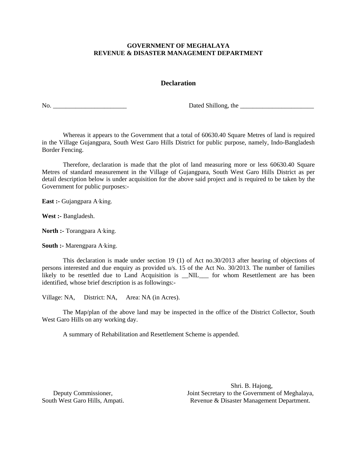# **Declaration**

No. \_\_\_\_\_\_\_\_\_\_\_\_\_\_\_\_\_\_\_\_\_\_\_ Dated Shillong, the \_\_\_\_\_\_\_\_\_\_\_\_\_\_\_\_\_\_\_\_\_\_\_

Whereas it appears to the Government that a total of 60630.40 Square Metres of land is required in the Village Gujangpara, South West Garo Hills District for public purpose, namely, Indo-Bangladesh Border Fencing.

Therefore, declaration is made that the plot of land measuring more or less 60630.40 Square Metres of standard measurement in the Village of Gujangpara, South West Garo Hills District as per detail description below is under acquisition for the above said project and is required to be taken by the Government for public purposes:-

**East :-** Gujangpara A∙king.

**West :-** Bangladesh.

**North :-** Torangpara A∙king.

**South :-** Marengpara A∙king.

This declaration is made under section 19 (1) of Act no.30/2013 after hearing of objections of persons interested and due enquiry as provided u/s. 15 of the Act No. 30/2013. The number of families likely to be resettled due to Land Acquisition is \_NIL\_\_ for whom Resettlement are has been identified, whose brief description is as followings:-

Village: NA, District: NA, Area: NA (in Acres).

The Map/plan of the above land may be inspected in the office of the District Collector, South West Garo Hills on any working day.

A summary of Rehabilitation and Resettlement Scheme is appended.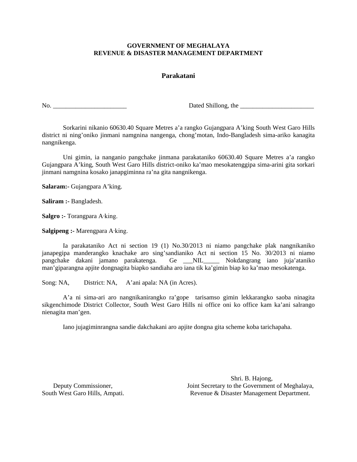### **Parakatani**

No. \_\_\_\_\_\_\_\_\_\_\_\_\_\_\_\_\_\_\_\_\_\_\_ Dated Shillong, the \_\_\_\_\_\_\_\_\_\_\_\_\_\_\_\_\_\_\_\_\_\_\_

Sorkarini nikanio 60630.40 Square Metres a'a rangko Gujangpara A'king South West Garo Hills district ni ning'oniko jinmani namgnina nangenga, chong'motan, Indo-Bangladesh sima-ariko kanagita nangnikenga.

 Uni gimin, ia nanganio pangchake jinmana parakataniko 60630.40 Square Metres a'a rangko Gujangpara A'king, South West Garo Hills district-oniko ka'mao mesokatenggipa sima-arini gita sorkari jinmani namgnina kosako janapgiminna ra'na gita nangnikenga.

**Salaram:-** Gujangpara A'king.

**Saliram :-** Bangladesh.

**Salgro :-** Torangpara A∙king.

**Salgipeng :-** Marengpara A∙king.

Ia parakataniko Act ni section 19 (1) No.30/2013 ni niamo pangchake plak nangnikaniko janapegipa manderangko knachake aro sing'sandianiko Act ni section 15 No. 30/2013 ni niamo pangchake dakani jamano parakatenga. Ge \_\_\_NIL\_\_\_\_\_ Nokdangrang iano juja'ataniko man'giparangna apjite dongnagita biapko sandiaha aro iana tik ka'gimin biap ko ka'mao mesokatenga.

Song: NA, District: NA, A'ani apala: NA (in Acres).

A'a ni sima-ari aro nangnikanirangko ra'gope tarisamso gimin lekkarangko saoba ninagita sikgenchimode District Collector, South West Garo Hills ni office oni ko office kam ka'ani salrango nienagita man'gen.

Iano jujagiminrangna sandie dakchakani aro apjite dongna gita scheme koba tarichapaha.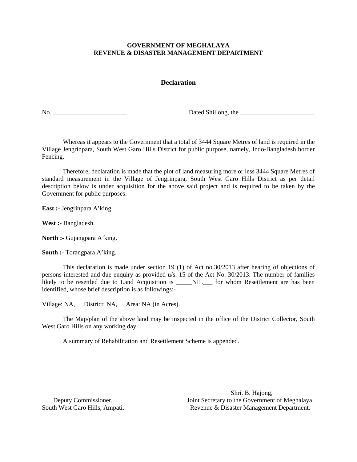# **Declaration**

No. \_\_\_\_\_\_\_\_\_\_\_\_\_\_\_\_\_\_\_\_\_\_\_ Dated Shillong, the \_\_\_\_\_\_\_\_\_\_\_\_\_\_\_\_\_\_\_\_\_\_\_

Whereas it appears to the Government that a total of 3444 Square Metres of land is required in the Village Jengrinpara, South West Garo Hills District for public purpose, namely, Indo-Bangladesh border Fencing.

Therefore, declaration is made that the plot of land measuring more or less 3444 Square Metres of standard measurement in the Village of Jengrinpara, South West Garo Hills District as per detail description below is under acquisition for the above said project and is required to be taken by the Government for public purposes:-

**East :-** Jengrinpara A'king.

**West :-** Bangladesh.

**North :-** Gujangpara A'king.

**South :-** Torangpara A'king.

This declaration is made under section 19 (1) of Act no.30/2013 after hearing of objections of persons interested and due enquiry as provided u/s. 15 of the Act No. 30/2013. The number of families likely to be resettled due to Land Acquisition is \_\_\_\_NIL\_\_\_ for whom Resettlement are has been identified, whose brief description is as followings:-

Village: NA, District: NA, Area: NA (in Acres).

The Map/plan of the above land may be inspected in the office of the District Collector, South West Garo Hills on any working day.

A summary of Rehabilitation and Resettlement Scheme is appended.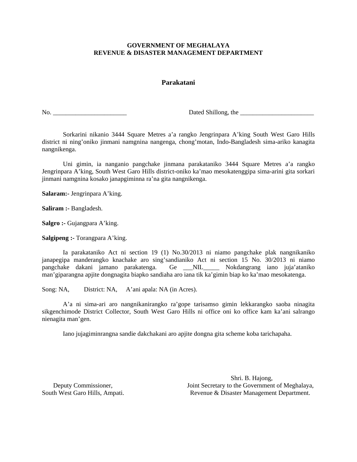# **Parakatani**

No. \_\_\_\_\_\_\_\_\_\_\_\_\_\_\_\_\_\_\_\_\_\_\_ Dated Shillong, the \_\_\_\_\_\_\_\_\_\_\_\_\_\_\_\_\_\_\_\_\_\_\_

Sorkarini nikanio 3444 Square Metres a'a rangko Jengrinpara A'king South West Garo Hills district ni ning'oniko jinmani namgnina nangenga, chong'motan, Indo-Bangladesh sima-ariko kanagita nangnikenga.

 Uni gimin, ia nanganio pangchake jinmana parakataniko 3444 Square Metres a'a rangko Jengrinpara A'king, South West Garo Hills district-oniko ka'mao mesokatenggipa sima-arini gita sorkari jinmani namgnina kosako janapgiminna ra'na gita nangnikenga.

**Salaram:-** Jengrinpara A'king.

**Saliram :-** Bangladesh.

**Salgro :-** Gujangpara A'king.

**Salgipeng :-** Torangpara A'king.

Ia parakataniko Act ni section 19 (1) No.30/2013 ni niamo pangchake plak nangnikaniko janapegipa manderangko knachake aro sing'sandianiko Act ni section 15 No. 30/2013 ni niamo pangchake dakani jamano parakatenga. Ge \_\_\_NIL\_\_\_\_\_ Nokdangrang iano juja'ataniko man'giparangna apjite dongnagita biapko sandiaha aro iana tik ka'gimin biap ko ka'mao mesokatenga.

Song: NA, District: NA, A'ani apala: NA (in Acres).

A'a ni sima-ari aro nangnikanirangko ra'gope tarisamso gimin lekkarangko saoba ninagita sikgenchimode District Collector, South West Garo Hills ni office oni ko office kam ka'ani salrango nienagita man'gen.

Iano jujagiminrangna sandie dakchakani aro apjite dongna gita scheme koba tarichapaha.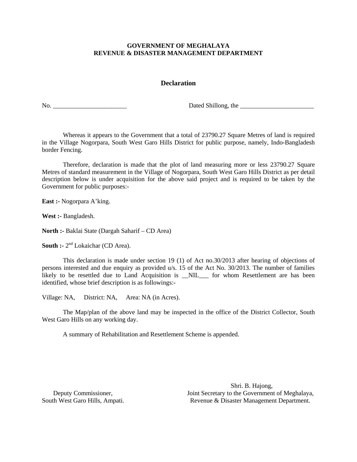# **Declaration**

No. \_\_\_\_\_\_\_\_\_\_\_\_\_\_\_\_\_\_\_\_\_\_\_ Dated Shillong, the \_\_\_\_\_\_\_\_\_\_\_\_\_\_\_\_\_\_\_\_\_\_\_

Whereas it appears to the Government that a total of 23790.27 Square Metres of land is required in the Village Nogorpara, South West Garo Hills District for public purpose, namely, Indo-Bangladesh border Fencing.

Therefore, declaration is made that the plot of land measuring more or less 23790.27 Square Metres of standard measurement in the Village of Nogorpara, South West Garo Hills District as per detail description below is under acquisition for the above said project and is required to be taken by the Government for public purposes:-

**East :-** Nogorpara A'king.

**West :-** Bangladesh.

**North :-** Baklai State (Dargah Saharif – CD Area)

**South :-**  $2^{nd}$  Lokaichar (CD Area).

This declaration is made under section 19 (1) of Act no.30/2013 after hearing of objections of persons interested and due enquiry as provided u/s. 15 of the Act No. 30/2013. The number of families likely to be resettled due to Land Acquisition is \_NIL\_\_ for whom Resettlement are has been identified, whose brief description is as followings:-

Village: NA, District: NA, Area: NA (in Acres).

The Map/plan of the above land may be inspected in the office of the District Collector, South West Garo Hills on any working day.

A summary of Rehabilitation and Resettlement Scheme is appended.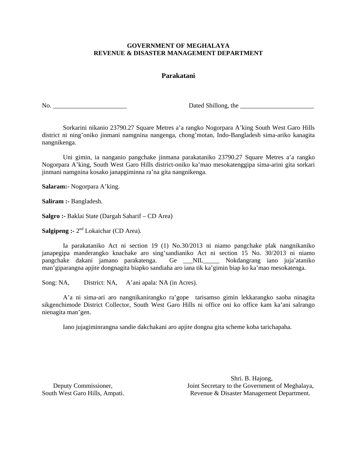### **Parakatani**

No. \_\_\_\_\_\_\_\_\_\_\_\_\_\_\_\_\_\_\_\_\_\_\_ Dated Shillong, the \_\_\_\_\_\_\_\_\_\_\_\_\_\_\_\_\_\_\_\_\_\_\_

Sorkarini nikanio 23790.27 Square Metres a'a rangko Nogorpara A'king South West Garo Hills district ni ning'oniko jinmani namgnina nangenga, chong'motan, Indo-Bangladesh sima-ariko kanagita nangnikenga.

 Uni gimin, ia nanganio pangchake jinmana parakataniko 23790.27 Square Metres a'a rangko Nogorpara A'king, South West Garo Hills district-oniko ka'mao mesokatenggipa sima-arini gita sorkari jinmani namgnina kosako janapgiminna ra'na gita nangnikenga.

**Salaram:-** Nogorpara A'king.

**Saliram :-** Bangladesh.

**Salgro :-** Baklai State (Dargah Saharif – CD Area)

**Salgipeng :-** 2<sup>nd</sup> Lokaichar (CD Area).

Ia parakataniko Act ni section 19 (1) No.30/2013 ni niamo pangchake plak nangnikaniko janapegipa manderangko knachake aro sing'sandianiko Act ni section 15 No. 30/2013 ni niamo pangchake dakani jamano parakatenga. Ge \_\_\_NIL\_\_\_\_\_ Nokdangrang iano juja'ataniko man'giparangna apjite dongnagita biapko sandiaha aro iana tik ka'gimin biap ko ka'mao mesokatenga.

Song: NA, District: NA, A'ani apala: NA (in Acres).

A'a ni sima-ari aro nangnikanirangko ra'gope tarisamso gimin lekkarangko saoba ninagita sikgenchimode District Collector, South West Garo Hills ni office oni ko office kam ka'ani salrango nienagita man'gen.

Iano jujagiminrangna sandie dakchakani aro apjite dongna gita scheme koba tarichapaha.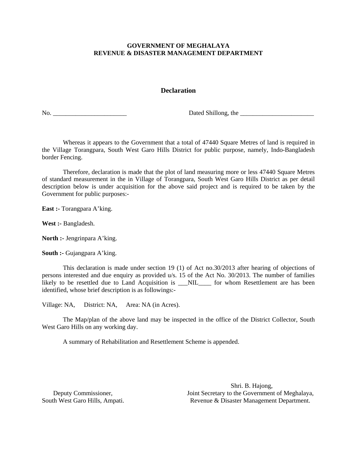# **Declaration**

No. 2012 **Dated Shillong**, the 2012 **Dated Shillong**, the 2012 **Dated Shillong**, the 2012 **Dated Shillong**, the 2012 **Date 2013** 

Whereas it appears to the Government that a total of 47440 Square Metres of land is required in the Village Torangpara, South West Garo Hills District for public purpose, namely, Indo-Bangladesh border Fencing.

Therefore, declaration is made that the plot of land measuring more or less 47440 Square Metres of standard measurement in the in Village of Torangpara, South West Garo Hills District as per detail description below is under acquisition for the above said project and is required to be taken by the Government for public purposes:-

**East :-** Torangpara A'king.

**West :-** Bangladesh.

**North :-** Jengrinpara A'king.

**South :-** Gujangpara A'king.

This declaration is made under section 19 (1) of Act no.30/2013 after hearing of objections of persons interested and due enquiry as provided u/s. 15 of the Act No. 30/2013. The number of families likely to be resettled due to Land Acquisition is \_\_NIL\_\_\_\_ for whom Resettlement are has been identified, whose brief description is as followings:-

Village: NA, District: NA, Area: NA (in Acres).

The Map/plan of the above land may be inspected in the office of the District Collector, South West Garo Hills on any working day.

A summary of Rehabilitation and Resettlement Scheme is appended.

Shri. B. Hajong, Deputy Commissioner,<br>
South West Garo Hills, Ampati.<br>
South West Garo Hills, Ampati.<br>
South West Garo Hills, Ampati.<br>
South West Garo Hills, Ampati. Revenue & Disaster Management Department.